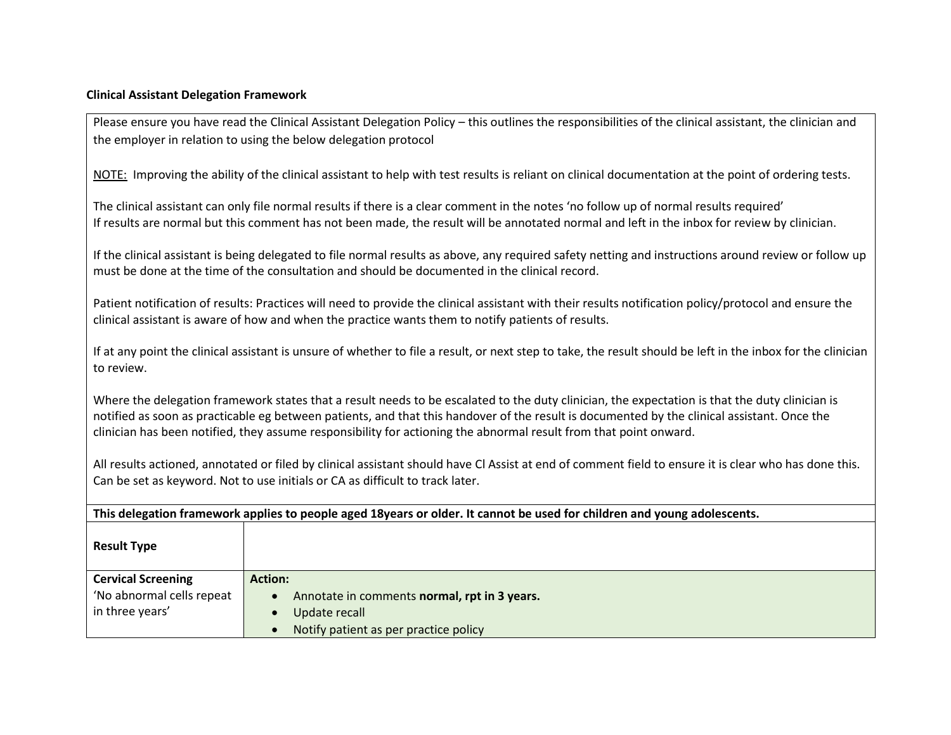## **Clinical Assistant Delegation Framework**

Please ensure you have read the Clinical Assistant Delegation Policy – this outlines the responsibilities of the clinical assistant, the clinician and the employer in relation to using the below delegation protocol

NOTE: Improving the ability of the clinical assistant to help with test results is reliant on clinical documentation at the point of ordering tests.

The clinical assistant can only file normal results if there is a clear comment in the notes 'no follow up of normal results required' If results are normal but this comment has not been made, the result will be annotated normal and left in the inbox for review by clinician.

If the clinical assistant is being delegated to file normal results as above, any required safety netting and instructions around review or follow up must be done at the time of the consultation and should be documented in the clinical record.

Patient notification of results: Practices will need to provide the clinical assistant with their results notification policy/protocol and ensure the clinical assistant is aware of how and when the practice wants them to notify patients of results.

If at any point the clinical assistant is unsure of whether to file a result, or next step to take, the result should be left in the inbox for the clinician to review.

Where the delegation framework states that a result needs to be escalated to the duty clinician, the expectation is that the duty clinician is notified as soon as practicable eg between patients, and that this handover of the result is documented by the clinical assistant. Once the clinician has been notified, they assume responsibility for actioning the abnormal result from that point onward.

All results actioned, annotated or filed by clinical assistant should have Cl Assist at end of comment field to ensure it is clear who has done this. Can be set as keyword. Not to use initials or CA as difficult to track later.

| This delegation framework applies to people aged 18years or older. It cannot be used for children and young adolescents. |                                              |
|--------------------------------------------------------------------------------------------------------------------------|----------------------------------------------|
| <b>Result Type</b>                                                                                                       |                                              |
| <b>Cervical Screening</b>                                                                                                | <b>Action:</b>                               |
| 'No abnormal cells repeat                                                                                                | Annotate in comments normal, rpt in 3 years. |
| in three years'                                                                                                          | Update recall                                |
|                                                                                                                          | Notify patient as per practice policy        |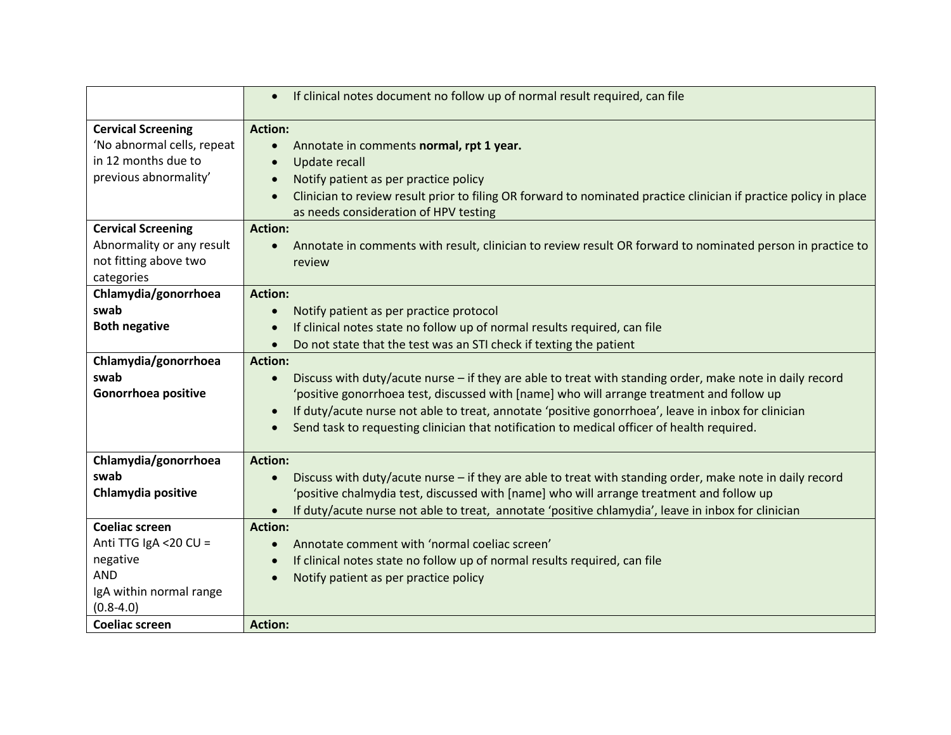|                            | If clinical notes document no follow up of normal result required, can file<br>$\bullet$                                       |
|----------------------------|--------------------------------------------------------------------------------------------------------------------------------|
| <b>Cervical Screening</b>  | <b>Action:</b>                                                                                                                 |
| 'No abnormal cells, repeat | Annotate in comments normal, rpt 1 year.<br>$\bullet$                                                                          |
| in 12 months due to        | <b>Update recall</b><br>$\bullet$                                                                                              |
| previous abnormality'      | Notify patient as per practice policy<br>$\bullet$                                                                             |
|                            | Clinician to review result prior to filing OR forward to nominated practice clinician if practice policy in place<br>$\bullet$ |
|                            | as needs consideration of HPV testing                                                                                          |
| <b>Cervical Screening</b>  | <b>Action:</b>                                                                                                                 |
| Abnormality or any result  | Annotate in comments with result, clinician to review result OR forward to nominated person in practice to                     |
| not fitting above two      | review                                                                                                                         |
| categories                 |                                                                                                                                |
| Chlamydia/gonorrhoea       | <b>Action:</b>                                                                                                                 |
| swab                       | Notify patient as per practice protocol                                                                                        |
| <b>Both negative</b>       | If clinical notes state no follow up of normal results required, can file                                                      |
|                            | Do not state that the test was an STI check if texting the patient                                                             |
| Chlamydia/gonorrhoea       | <b>Action:</b>                                                                                                                 |
| swab                       | Discuss with duty/acute nurse - if they are able to treat with standing order, make note in daily record<br>$\bullet$          |
| Gonorrhoea positive        | 'positive gonorrhoea test, discussed with [name] who will arrange treatment and follow up                                      |
|                            | If duty/acute nurse not able to treat, annotate 'positive gonorrhoea', leave in inbox for clinician<br>$\bullet$               |
|                            | Send task to requesting clinician that notification to medical officer of health required.                                     |
|                            |                                                                                                                                |
| Chlamydia/gonorrhoea       | <b>Action:</b>                                                                                                                 |
| swab                       | Discuss with duty/acute nurse - if they are able to treat with standing order, make note in daily record<br>$\bullet$          |
| Chlamydia positive         | 'positive chalmydia test, discussed with [name] who will arrange treatment and follow up                                       |
|                            | If duty/acute nurse not able to treat, annotate 'positive chlamydia', leave in inbox for clinician                             |
| <b>Coeliac screen</b>      | <b>Action:</b>                                                                                                                 |
| Anti TTG IgA < 20 CU =     | Annotate comment with 'normal coeliac screen'<br>$\bullet$                                                                     |
| negative                   | If clinical notes state no follow up of normal results required, can file<br>$\bullet$                                         |
| <b>AND</b>                 | Notify patient as per practice policy                                                                                          |
| IgA within normal range    |                                                                                                                                |
| $(0.8 - 4.0)$              |                                                                                                                                |
| <b>Coeliac screen</b>      | <b>Action:</b>                                                                                                                 |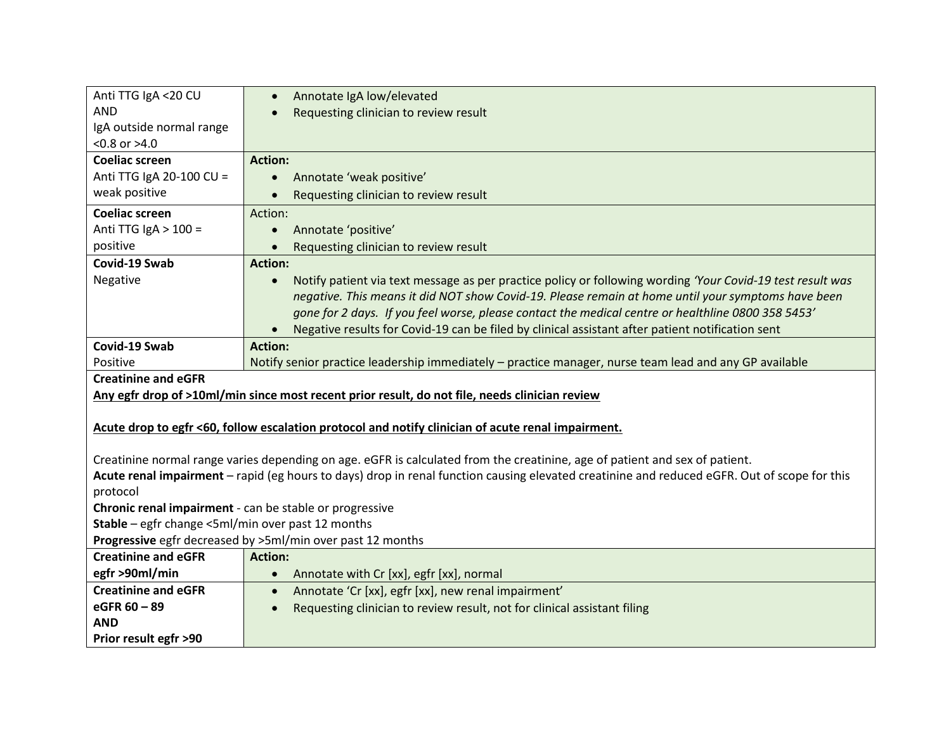| Anti TTG IgA <20 CU                                     | Annotate IgA low/elevated                                                                                                                    |
|---------------------------------------------------------|----------------------------------------------------------------------------------------------------------------------------------------------|
| <b>AND</b>                                              | Requesting clinician to review result                                                                                                        |
| IgA outside normal range                                |                                                                                                                                              |
| $< 0.8$ or $> 4.0$                                      |                                                                                                                                              |
| <b>Coeliac screen</b>                                   | <b>Action:</b>                                                                                                                               |
| Anti TTG IgA 20-100 CU =                                | Annotate 'weak positive'                                                                                                                     |
| weak positive                                           | Requesting clinician to review result                                                                                                        |
| <b>Coeliac screen</b>                                   | Action:                                                                                                                                      |
| Anti TTG IgA $>$ 100 =                                  | Annotate 'positive'                                                                                                                          |
| positive                                                | Requesting clinician to review result                                                                                                        |
| Covid-19 Swab                                           | <b>Action:</b>                                                                                                                               |
| Negative                                                | Notify patient via text message as per practice policy or following wording 'Your Covid-19 test result was<br>$\bullet$                      |
|                                                         | negative. This means it did NOT show Covid-19. Please remain at home until your symptoms have been                                           |
|                                                         | gone for 2 days. If you feel worse, please contact the medical centre or healthline 0800 358 5453'                                           |
|                                                         | Negative results for Covid-19 can be filed by clinical assistant after patient notification sent                                             |
| Covid-19 Swab                                           | <b>Action:</b>                                                                                                                               |
| Positive                                                | Notify senior practice leadership immediately - practice manager, nurse team lead and any GP available                                       |
|                                                         |                                                                                                                                              |
| <b>Creatinine and eGFR</b>                              |                                                                                                                                              |
|                                                         | Any egfr drop of >10ml/min since most recent prior result, do not file, needs clinician review                                               |
|                                                         |                                                                                                                                              |
|                                                         | Acute drop to egfr <60, follow escalation protocol and notify clinician of acute renal impairment.                                           |
|                                                         |                                                                                                                                              |
|                                                         | Creatinine normal range varies depending on age. eGFR is calculated from the creatinine, age of patient and sex of patient.                  |
|                                                         | Acute renal impairment - rapid (eg hours to days) drop in renal function causing elevated creatinine and reduced eGFR. Out of scope for this |
| protocol                                                |                                                                                                                                              |
| Chronic renal impairment - can be stable or progressive |                                                                                                                                              |
| Stable - egfr change <5ml/min over past 12 months       |                                                                                                                                              |
|                                                         | Progressive egfr decreased by >5ml/min over past 12 months                                                                                   |
| <b>Creatinine and eGFR</b>                              | <b>Action:</b>                                                                                                                               |
| egfr >90ml/min                                          | Annotate with Cr [xx], egfr [xx], normal<br>$\bullet$                                                                                        |
| <b>Creatinine and eGFR</b>                              | Annotate 'Cr [xx], egfr [xx], new renal impairment'<br>$\bullet$                                                                             |
| eGFR 60 - 89                                            | Requesting clinician to review result, not for clinical assistant filing                                                                     |
| <b>AND</b><br>Prior result egfr >90                     |                                                                                                                                              |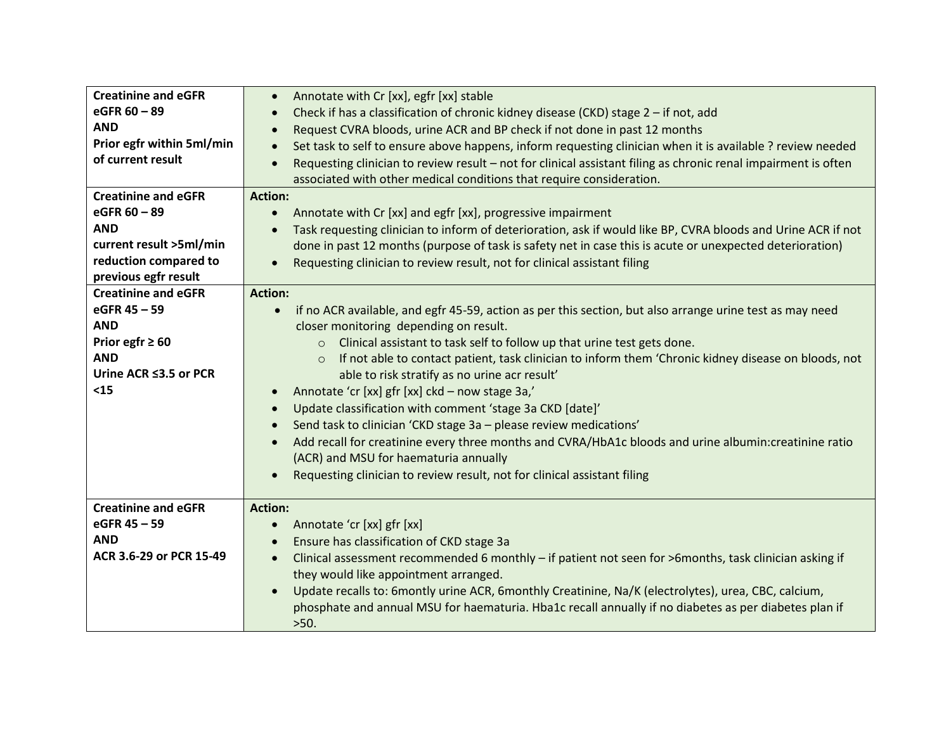| <b>Creatinine and eGFR</b> | Annotate with Cr [xx], egfr [xx] stable<br>$\bullet$                                                                  |
|----------------------------|-----------------------------------------------------------------------------------------------------------------------|
| eGFR 60 - 89               | Check if has a classification of chronic kidney disease (CKD) stage 2 - if not, add                                   |
| <b>AND</b>                 | Request CVRA bloods, urine ACR and BP check if not done in past 12 months                                             |
| Prior egfr within 5ml/min  | Set task to self to ensure above happens, inform requesting clinician when it is available ? review needed            |
| of current result          | Requesting clinician to review result - not for clinical assistant filing as chronic renal impairment is often        |
|                            | associated with other medical conditions that require consideration.                                                  |
| <b>Creatinine and eGFR</b> | <b>Action:</b>                                                                                                        |
| eGFR 60 - 89               | Annotate with Cr [xx] and egfr [xx], progressive impairment<br>$\bullet$                                              |
| <b>AND</b>                 | Task requesting clinician to inform of deterioration, ask if would like BP, CVRA bloods and Urine ACR if not          |
| current result >5ml/min    | done in past 12 months (purpose of task is safety net in case this is acute or unexpected deterioration)              |
| reduction compared to      | Requesting clinician to review result, not for clinical assistant filing                                              |
| previous egfr result       |                                                                                                                       |
| <b>Creatinine and eGFR</b> | <b>Action:</b>                                                                                                        |
| eGFR 45 - 59               | if no ACR available, and egfr 45-59, action as per this section, but also arrange urine test as may need<br>$\bullet$ |
| <b>AND</b>                 | closer monitoring depending on result.                                                                                |
| Prior egfr $\geq 60$       | Clinical assistant to task self to follow up that urine test gets done.<br>$\circ$                                    |
| <b>AND</b>                 | If not able to contact patient, task clinician to inform them 'Chronic kidney disease on bloods, not<br>$\circ$       |
| Urine ACR ≤3.5 or PCR      | able to risk stratify as no urine acr result'                                                                         |
| $15$                       | Annotate 'cr [xx] gfr [xx] ckd - now stage 3a,'                                                                       |
|                            | Update classification with comment 'stage 3a CKD [date]'                                                              |
|                            | Send task to clinician 'CKD stage 3a - please review medications'                                                     |
|                            | Add recall for creatinine every three months and CVRA/HbA1c bloods and urine albumin: creatinine ratio                |
|                            | (ACR) and MSU for haematuria annually                                                                                 |
|                            | Requesting clinician to review result, not for clinical assistant filing                                              |
|                            |                                                                                                                       |
| <b>Creatinine and eGFR</b> | <b>Action:</b>                                                                                                        |
| eGFR 45 - 59               | Annotate 'cr [xx] gfr [xx]                                                                                            |
| <b>AND</b>                 | Ensure has classification of CKD stage 3a                                                                             |
| ACR 3.6-29 or PCR 15-49    | Clinical assessment recommended 6 monthly - if patient not seen for >6months, task clinician asking if<br>$\bullet$   |
|                            | they would like appointment arranged.                                                                                 |
|                            | Update recalls to: 6montly urine ACR, 6monthly Creatinine, Na/K (electrolytes), urea, CBC, calcium,<br>$\bullet$      |
|                            | phosphate and annual MSU for haematuria. Hba1c recall annually if no diabetes as per diabetes plan if                 |
|                            | >50.                                                                                                                  |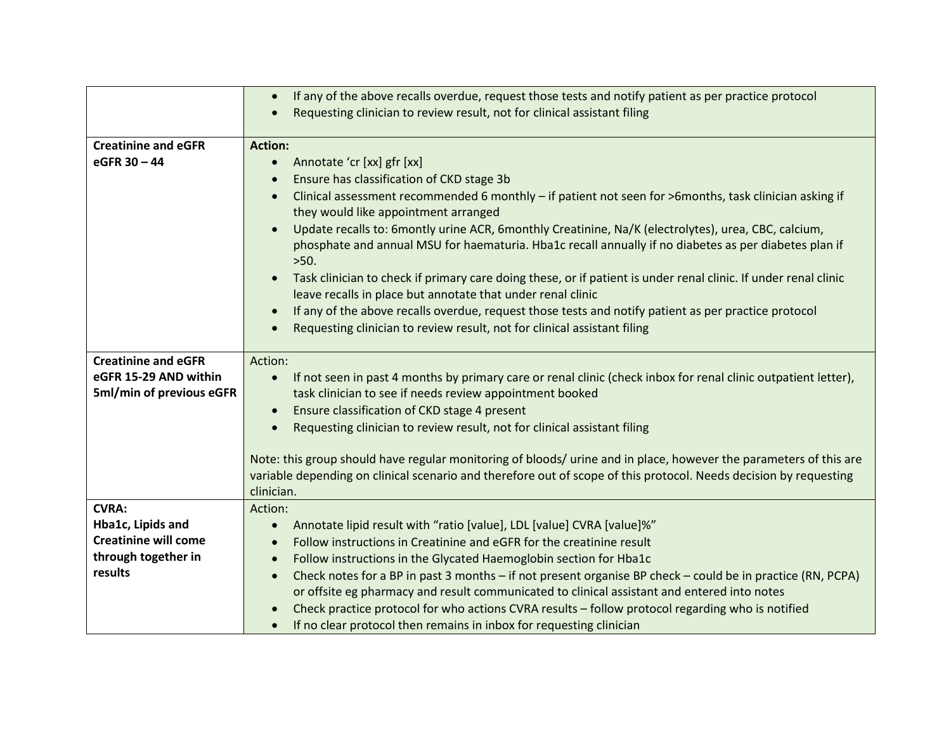|                             | If any of the above recalls overdue, request those tests and notify patient as per practice protocol<br>$\bullet$                                                                                                                      |
|-----------------------------|----------------------------------------------------------------------------------------------------------------------------------------------------------------------------------------------------------------------------------------|
|                             | Requesting clinician to review result, not for clinical assistant filing                                                                                                                                                               |
|                             |                                                                                                                                                                                                                                        |
| <b>Creatinine and eGFR</b>  | <b>Action:</b>                                                                                                                                                                                                                         |
| eGFR 30 - 44                | Annotate 'cr [xx] gfr [xx]<br>$\bullet$                                                                                                                                                                                                |
|                             | Ensure has classification of CKD stage 3b                                                                                                                                                                                              |
|                             | Clinical assessment recommended 6 monthly - if patient not seen for >6 months, task clinician asking if                                                                                                                                |
|                             | they would like appointment arranged                                                                                                                                                                                                   |
|                             | Update recalls to: 6montly urine ACR, 6monthly Creatinine, Na/K (electrolytes), urea, CBC, calcium,<br>$\bullet$                                                                                                                       |
|                             | phosphate and annual MSU for haematuria. Hba1c recall annually if no diabetes as per diabetes plan if                                                                                                                                  |
|                             | >50.                                                                                                                                                                                                                                   |
|                             | Task clinician to check if primary care doing these, or if patient is under renal clinic. If under renal clinic                                                                                                                        |
|                             | leave recalls in place but annotate that under renal clinic                                                                                                                                                                            |
|                             | If any of the above recalls overdue, request those tests and notify patient as per practice protocol                                                                                                                                   |
|                             | Requesting clinician to review result, not for clinical assistant filing                                                                                                                                                               |
|                             |                                                                                                                                                                                                                                        |
| <b>Creatinine and eGFR</b>  | Action:                                                                                                                                                                                                                                |
| eGFR 15-29 AND within       | If not seen in past 4 months by primary care or renal clinic (check inbox for renal clinic outpatient letter),<br>$\bullet$                                                                                                            |
| 5ml/min of previous eGFR    | task clinician to see if needs review appointment booked                                                                                                                                                                               |
|                             | Ensure classification of CKD stage 4 present<br>$\bullet$                                                                                                                                                                              |
|                             | Requesting clinician to review result, not for clinical assistant filing                                                                                                                                                               |
|                             |                                                                                                                                                                                                                                        |
|                             | Note: this group should have regular monitoring of bloods/ urine and in place, however the parameters of this are<br>variable depending on clinical scenario and therefore out of scope of this protocol. Needs decision by requesting |
|                             | clinician.                                                                                                                                                                                                                             |
| <b>CVRA:</b>                | Action:                                                                                                                                                                                                                                |
| Hba1c, Lipids and           | Annotate lipid result with "ratio [value], LDL [value] CVRA [value]%"                                                                                                                                                                  |
| <b>Creatinine will come</b> | Follow instructions in Creatinine and eGFR for the creatinine result                                                                                                                                                                   |
| through together in         | Follow instructions in the Glycated Haemoglobin section for Hba1c<br>$\bullet$                                                                                                                                                         |
| results                     | Check notes for a BP in past 3 months - if not present organise BP check - could be in practice (RN, PCPA)<br>$\bullet$                                                                                                                |
|                             | or offsite eg pharmacy and result communicated to clinical assistant and entered into notes                                                                                                                                            |
|                             | Check practice protocol for who actions CVRA results - follow protocol regarding who is notified                                                                                                                                       |
|                             | If no clear protocol then remains in inbox for requesting clinician<br>$\bullet$                                                                                                                                                       |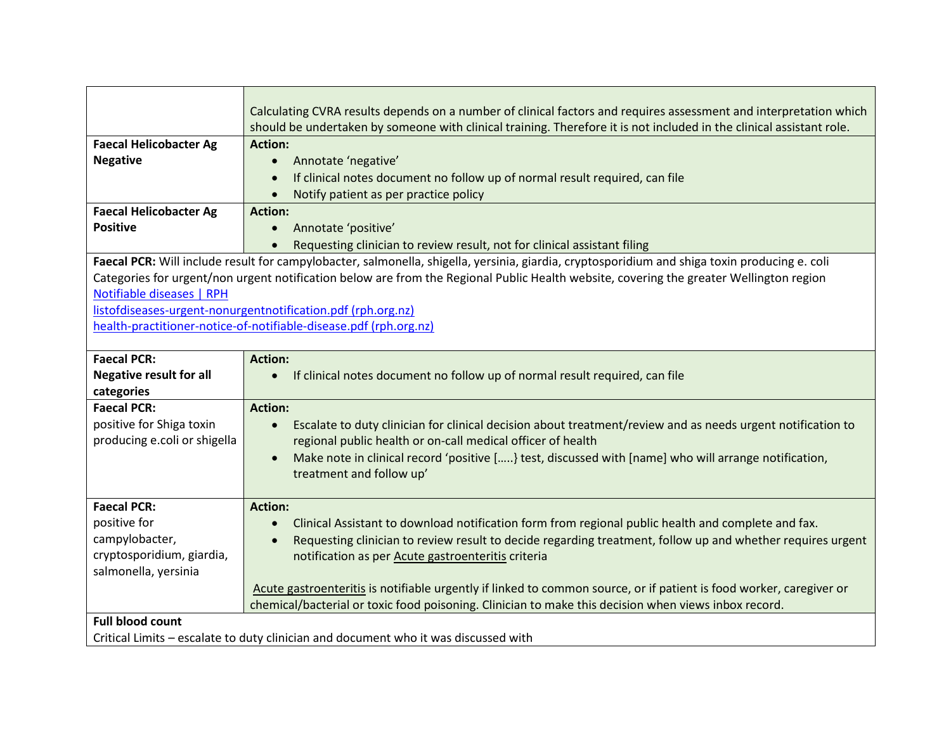|                                | Calculating CVRA results depends on a number of clinical factors and requires assessment and interpretation which                             |
|--------------------------------|-----------------------------------------------------------------------------------------------------------------------------------------------|
| <b>Faecal Helicobacter Ag</b>  | should be undertaken by someone with clinical training. Therefore it is not included in the clinical assistant role.<br><b>Action:</b>        |
| <b>Negative</b>                | Annotate 'negative'<br>$\bullet$                                                                                                              |
|                                | If clinical notes document no follow up of normal result required, can file                                                                   |
|                                | Notify patient as per practice policy                                                                                                         |
| <b>Faecal Helicobacter Ag</b>  | <b>Action:</b>                                                                                                                                |
| <b>Positive</b>                | Annotate 'positive'                                                                                                                           |
|                                | Requesting clinician to review result, not for clinical assistant filing                                                                      |
|                                | Faecal PCR: Will include result for campylobacter, salmonella, shigella, yersinia, giardia, cryptosporidium and shiga toxin producing e. coli |
|                                | Categories for urgent/non urgent notification below are from the Regional Public Health website, covering the greater Wellington region       |
| Notifiable diseases   RPH      |                                                                                                                                               |
|                                | listofdiseases-urgent-nonurgentnotification.pdf (rph.org.nz)                                                                                  |
|                                | health-practitioner-notice-of-notifiable-disease.pdf (rph.org.nz)                                                                             |
|                                |                                                                                                                                               |
| <b>Faecal PCR:</b>             | <b>Action:</b>                                                                                                                                |
| <b>Negative result for all</b> | If clinical notes document no follow up of normal result required, can file                                                                   |
| categories                     |                                                                                                                                               |
| <b>Faecal PCR:</b>             | <b>Action:</b>                                                                                                                                |
| positive for Shiga toxin       | Escalate to duty clinician for clinical decision about treatment/review and as needs urgent notification to<br>$\bullet$                      |
| producing e.coli or shigella   | regional public health or on-call medical officer of health                                                                                   |
|                                | Make note in clinical record 'positive [] test, discussed with [name] who will arrange notification,<br>$\bullet$                             |
|                                | treatment and follow up'                                                                                                                      |
|                                |                                                                                                                                               |
| <b>Faecal PCR:</b>             | <b>Action:</b>                                                                                                                                |
| positive for                   | Clinical Assistant to download notification form from regional public health and complete and fax.                                            |
| campylobacter,                 | Requesting clinician to review result to decide regarding treatment, follow up and whether requires urgent                                    |
| cryptosporidium, giardia,      | notification as per Acute gastroenteritis criteria                                                                                            |
| salmonella, yersinia           |                                                                                                                                               |
|                                | Acute gastroenteritis is notifiable urgently if linked to common source, or if patient is food worker, caregiver or                           |
|                                | chemical/bacterial or toxic food poisoning. Clinician to make this decision when views inbox record.                                          |
| <b>Full blood count</b>        |                                                                                                                                               |
|                                | Critical Limits - escalate to duty clinician and document who it was discussed with                                                           |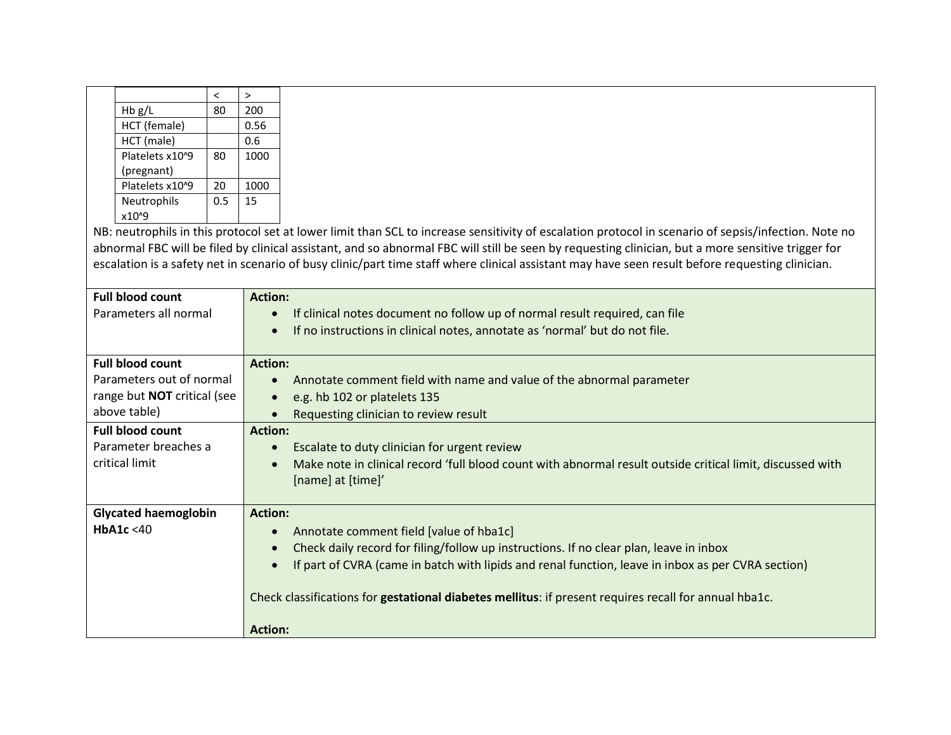|                 |     | ↘    |
|-----------------|-----|------|
| Hb g/L          | 80  | 200  |
| HCT (female)    |     | 0.56 |
| HCT (male)      |     | 0.6  |
| Platelets x10^9 | 80  | 1000 |
| (pregnant)      |     |      |
| Platelets x10^9 | 20  | 1000 |
| Neutrophils     | 0.5 | 15   |
| x10^9           |     |      |

NB: neutrophils in this protocol set at lower limit than SCL to increase sensitivity of escalation protocol in scenario of sepsis/infection. Note no abnormal FBC will be filed by clinical assistant, and so abnormal FBC will still be seen by requesting clinician, but a more sensitive trigger for escalation is a safety net in scenario of busy clinic/part time staff where clinical assistant may have seen result before requesting clinician.

| <b>Action:</b>                                                                                             |
|------------------------------------------------------------------------------------------------------------|
| If clinical notes document no follow up of normal result required, can file<br>$\bullet$                   |
| If no instructions in clinical notes, annotate as 'normal' but do not file.                                |
|                                                                                                            |
| <b>Action:</b>                                                                                             |
| Annotate comment field with name and value of the abnormal parameter<br>$\bullet$                          |
| e.g. hb 102 or platelets 135<br>$\bullet$                                                                  |
| Requesting clinician to review result                                                                      |
| <b>Action:</b>                                                                                             |
| Escalate to duty clinician for urgent review<br>$\bullet$                                                  |
| Make note in clinical record 'full blood count with abnormal result outside critical limit, discussed with |
| [name] at [time]'                                                                                          |
|                                                                                                            |
| <b>Action:</b>                                                                                             |
| Annotate comment field [value of hba1c]                                                                    |
| Check daily record for filing/follow up instructions. If no clear plan, leave in inbox                     |
| If part of CVRA (came in batch with lipids and renal function, leave in inbox as per CVRA section)         |
|                                                                                                            |
| Check classifications for gestational diabetes mellitus: if present requires recall for annual hba1c.      |
|                                                                                                            |
| <b>Action:</b>                                                                                             |
|                                                                                                            |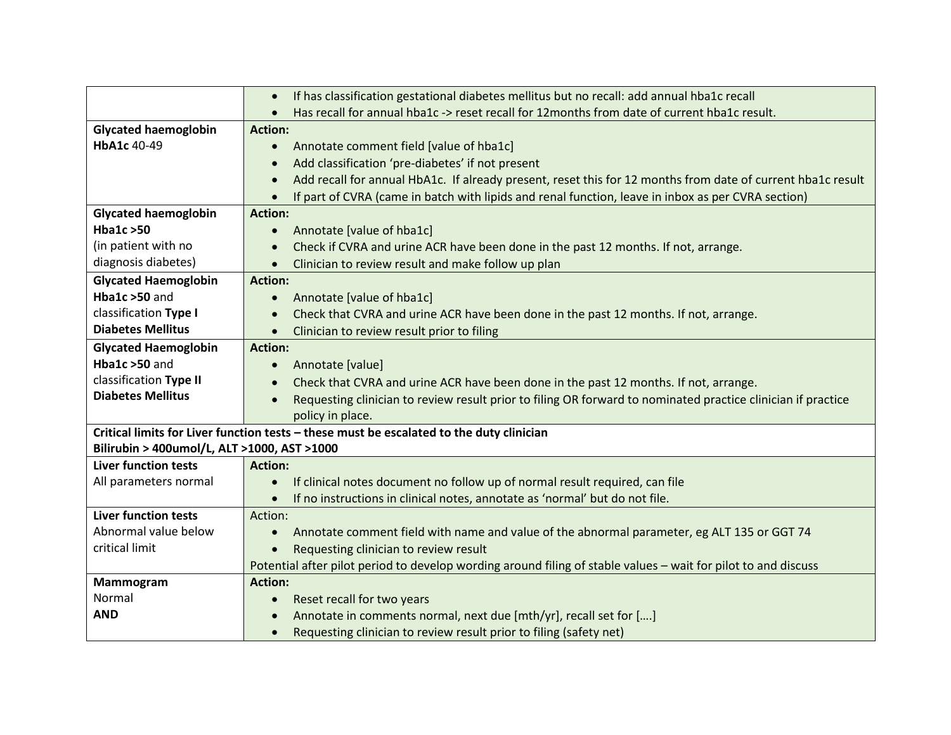|                                             | If has classification gestational diabetes mellitus but no recall: add annual hba1c recall<br>$\bullet$                   |
|---------------------------------------------|---------------------------------------------------------------------------------------------------------------------------|
|                                             | Has recall for annual hba1c -> reset recall for 12months from date of current hba1c result.<br>$\bullet$                  |
| <b>Glycated haemoglobin</b>                 | <b>Action:</b>                                                                                                            |
| HbA1c 40-49                                 | Annotate comment field [value of hba1c]<br>$\bullet$                                                                      |
|                                             | Add classification 'pre-diabetes' if not present<br>$\bullet$                                                             |
|                                             | Add recall for annual HbA1c. If already present, reset this for 12 months from date of current hba1c result<br>$\bullet$  |
|                                             | If part of CVRA (came in batch with lipids and renal function, leave in inbox as per CVRA section)                        |
| <b>Glycated haemoglobin</b>                 | <b>Action:</b>                                                                                                            |
| <b>Hba1c &gt;50</b>                         | Annotate [value of hba1c]<br>$\bullet$                                                                                    |
| (in patient with no                         | Check if CVRA and urine ACR have been done in the past 12 months. If not, arrange.                                        |
| diagnosis diabetes)                         | Clinician to review result and make follow up plan                                                                        |
| <b>Glycated Haemoglobin</b>                 | <b>Action:</b>                                                                                                            |
| Hba1c >50 and                               | Annotate [value of hba1c]                                                                                                 |
| classification Type I                       | Check that CVRA and urine ACR have been done in the past 12 months. If not, arrange.                                      |
| <b>Diabetes Mellitus</b>                    | Clinician to review result prior to filing                                                                                |
| <b>Glycated Haemoglobin</b>                 | <b>Action:</b>                                                                                                            |
| Hba1c $>50$ and                             | Annotate [value]<br>$\bullet$                                                                                             |
| classification Type II                      | Check that CVRA and urine ACR have been done in the past 12 months. If not, arrange.<br>$\bullet$                         |
| <b>Diabetes Mellitus</b>                    | Requesting clinician to review result prior to filing OR forward to nominated practice clinician if practice<br>$\bullet$ |
|                                             | policy in place.                                                                                                          |
|                                             | Critical limits for Liver function tests - these must be escalated to the duty clinician                                  |
| Bilirubin > 400umol/L, ALT >1000, AST >1000 |                                                                                                                           |
| <b>Liver function tests</b>                 | <b>Action:</b>                                                                                                            |
| All parameters normal                       | If clinical notes document no follow up of normal result required, can file<br>$\bullet$                                  |
|                                             | If no instructions in clinical notes, annotate as 'normal' but do not file.                                               |
| <b>Liver function tests</b>                 | Action:                                                                                                                   |
| Abnormal value below                        | Annotate comment field with name and value of the abnormal parameter, eg ALT 135 or GGT 74                                |
| critical limit                              | Requesting clinician to review result                                                                                     |
|                                             | Potential after pilot period to develop wording around filing of stable values - wait for pilot to and discuss            |
| Mammogram                                   | <b>Action:</b>                                                                                                            |
| Normal                                      | Reset recall for two years                                                                                                |
| <b>AND</b>                                  | Annotate in comments normal, next due [mth/yr], recall set for []                                                         |
|                                             | Requesting clinician to review result prior to filing (safety net)<br>$\bullet$                                           |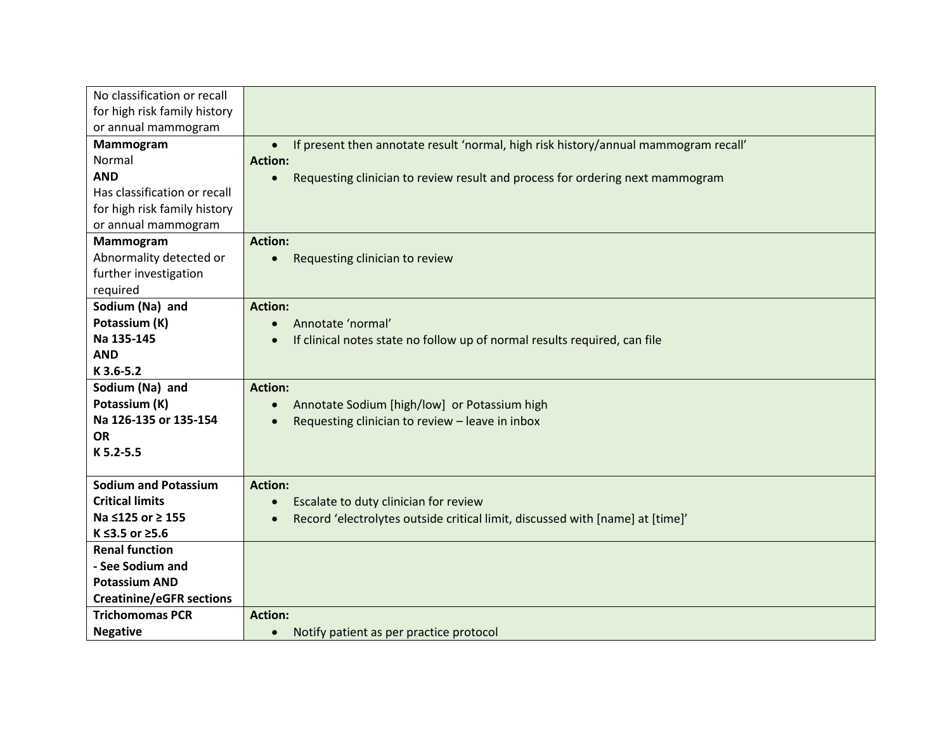| No classification or recall     |                                                                                                  |
|---------------------------------|--------------------------------------------------------------------------------------------------|
| for high risk family history    |                                                                                                  |
| or annual mammogram             |                                                                                                  |
| Mammogram                       | If present then annotate result 'normal, high risk history/annual mammogram recall'<br>$\bullet$ |
| Normal                          | <b>Action:</b>                                                                                   |
| <b>AND</b>                      | Requesting clinician to review result and process for ordering next mammogram<br>$\bullet$       |
| Has classification or recall    |                                                                                                  |
| for high risk family history    |                                                                                                  |
| or annual mammogram             |                                                                                                  |
| Mammogram                       | <b>Action:</b>                                                                                   |
| Abnormality detected or         | Requesting clinician to review                                                                   |
| further investigation           |                                                                                                  |
| required                        |                                                                                                  |
| Sodium (Na) and                 | <b>Action:</b>                                                                                   |
| Potassium (K)                   | Annotate 'normal'                                                                                |
| Na 135-145                      | If clinical notes state no follow up of normal results required, can file<br>$\bullet$           |
| <b>AND</b>                      |                                                                                                  |
| K 3.6-5.2                       |                                                                                                  |
| Sodium (Na) and                 | <b>Action:</b>                                                                                   |
| Potassium (K)                   | Annotate Sodium [high/low] or Potassium high                                                     |
| Na 126-135 or 135-154           | Requesting clinician to review - leave in inbox                                                  |
| <b>OR</b>                       |                                                                                                  |
| K 5.2-5.5                       |                                                                                                  |
|                                 |                                                                                                  |
| <b>Sodium and Potassium</b>     | <b>Action:</b>                                                                                   |
| <b>Critical limits</b>          | Escalate to duty clinician for review                                                            |
| Na ≤125 or ≥ 155                | Record 'electrolytes outside critical limit, discussed with [name] at [time]'                    |
| K ≤3.5 or ≥5.6                  |                                                                                                  |
| <b>Renal function</b>           |                                                                                                  |
| - See Sodium and                |                                                                                                  |
| <b>Potassium AND</b>            |                                                                                                  |
| <b>Creatinine/eGFR sections</b> |                                                                                                  |
| <b>Trichomomas PCR</b>          | <b>Action:</b>                                                                                   |
| <b>Negative</b>                 | Notify patient as per practice protocol<br>$\bullet$                                             |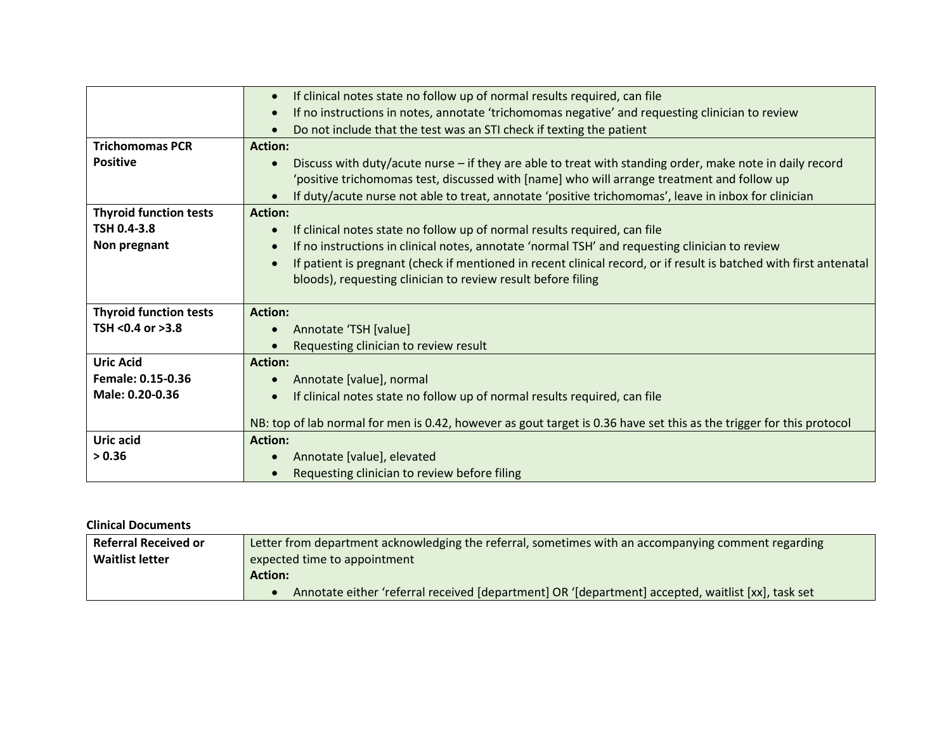|                               | If clinical notes state no follow up of normal results required, can file                                                       |
|-------------------------------|---------------------------------------------------------------------------------------------------------------------------------|
|                               | If no instructions in notes, annotate 'trichomomas negative' and requesting clinician to review                                 |
|                               | Do not include that the test was an STI check if texting the patient                                                            |
| <b>Trichomomas PCR</b>        | <b>Action:</b>                                                                                                                  |
| <b>Positive</b>               | Discuss with duty/acute nurse - if they are able to treat with standing order, make note in daily record                        |
|                               | 'positive trichomomas test, discussed with [name] who will arrange treatment and follow up                                      |
|                               | If duty/acute nurse not able to treat, annotate 'positive trichomomas', leave in inbox for clinician                            |
| <b>Thyroid function tests</b> | <b>Action:</b>                                                                                                                  |
| TSH 0.4-3.8                   | If clinical notes state no follow up of normal results required, can file                                                       |
| Non pregnant                  | If no instructions in clinical notes, annotate 'normal TSH' and requesting clinician to review                                  |
|                               | If patient is pregnant (check if mentioned in recent clinical record, or if result is batched with first antenatal<br>$\bullet$ |
|                               | bloods), requesting clinician to review result before filing                                                                    |
|                               |                                                                                                                                 |
| <b>Thyroid function tests</b> | <b>Action:</b>                                                                                                                  |
| TSH <0.4 or >3.8              | Annotate 'TSH [value]                                                                                                           |
|                               | Requesting clinician to review result                                                                                           |
| <b>Uric Acid</b>              | <b>Action:</b>                                                                                                                  |
| Female: 0.15-0.36             | Annotate [value], normal                                                                                                        |
| Male: 0.20-0.36               | If clinical notes state no follow up of normal results required, can file                                                       |
|                               |                                                                                                                                 |
|                               | NB: top of lab normal for men is 0.42, however as gout target is 0.36 have set this as the trigger for this protocol            |
| Uric acid                     | <b>Action:</b>                                                                                                                  |
| > 0.36                        | Annotate [value], elevated                                                                                                      |
|                               | Requesting clinician to review before filing                                                                                    |

## **Clinical Documents**

| <b>Referral Received or</b> | Letter from department acknowledging the referral, sometimes with an accompanying comment regarding |
|-----------------------------|-----------------------------------------------------------------------------------------------------|
| <b>Waitlist letter</b>      | expected time to appointment                                                                        |
|                             | <b>Action:</b>                                                                                      |
|                             | Annotate either 'referral received [department] OR '[department] accepted, waitlist [xx], task set  |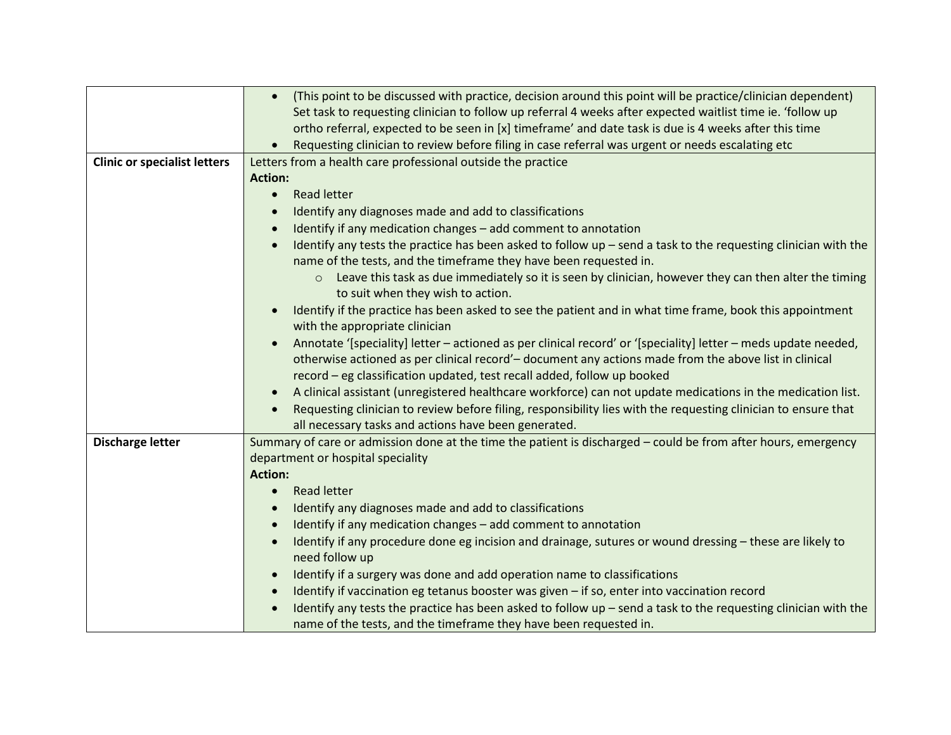|                                     | (This point to be discussed with practice, decision around this point will be practice/clinician dependent)<br>$\bullet$                                                        |
|-------------------------------------|---------------------------------------------------------------------------------------------------------------------------------------------------------------------------------|
|                                     | Set task to requesting clinician to follow up referral 4 weeks after expected waitlist time ie. 'follow up                                                                      |
|                                     | ortho referral, expected to be seen in [x] timeframe' and date task is due is 4 weeks after this time                                                                           |
|                                     | Requesting clinician to review before filing in case referral was urgent or needs escalating etc                                                                                |
| <b>Clinic or specialist letters</b> | Letters from a health care professional outside the practice                                                                                                                    |
|                                     | <b>Action:</b>                                                                                                                                                                  |
|                                     | <b>Read letter</b><br>$\bullet$                                                                                                                                                 |
|                                     | Identify any diagnoses made and add to classifications                                                                                                                          |
|                                     | Identify if any medication changes - add comment to annotation                                                                                                                  |
|                                     | Identify any tests the practice has been asked to follow $up$ – send a task to the requesting clinician with the                                                                |
|                                     | name of the tests, and the timeframe they have been requested in.                                                                                                               |
|                                     | Leave this task as due immediately so it is seen by clinician, however they can then alter the timing<br>$\circ$                                                                |
|                                     | to suit when they wish to action.                                                                                                                                               |
|                                     | Identify if the practice has been asked to see the patient and in what time frame, book this appointment                                                                        |
|                                     | with the appropriate clinician                                                                                                                                                  |
|                                     | Annotate '[speciality] letter - actioned as per clinical record' or '[speciality] letter - meds update needed,                                                                  |
|                                     | otherwise actioned as per clinical record'-document any actions made from the above list in clinical<br>record - eg classification updated, test recall added, follow up booked |
|                                     | A clinical assistant (unregistered healthcare workforce) can not update medications in the medication list.                                                                     |
|                                     | Requesting clinician to review before filing, responsibility lies with the requesting clinician to ensure that                                                                  |
|                                     | all necessary tasks and actions have been generated.                                                                                                                            |
| <b>Discharge letter</b>             | Summary of care or admission done at the time the patient is discharged - could be from after hours, emergency                                                                  |
|                                     | department or hospital speciality                                                                                                                                               |
|                                     | <b>Action:</b>                                                                                                                                                                  |
|                                     | <b>Read letter</b><br>$\bullet$                                                                                                                                                 |
|                                     | Identify any diagnoses made and add to classifications                                                                                                                          |
|                                     | Identify if any medication changes - add comment to annotation                                                                                                                  |
|                                     | Identify if any procedure done eg incision and drainage, sutures or wound dressing - these are likely to                                                                        |
|                                     | need follow up                                                                                                                                                                  |
|                                     | Identify if a surgery was done and add operation name to classifications                                                                                                        |
|                                     | Identify if vaccination eg tetanus booster was given - if so, enter into vaccination record                                                                                     |
|                                     | Identify any tests the practice has been asked to follow $up$ – send a task to the requesting clinician with the                                                                |
|                                     | name of the tests, and the timeframe they have been requested in.                                                                                                               |